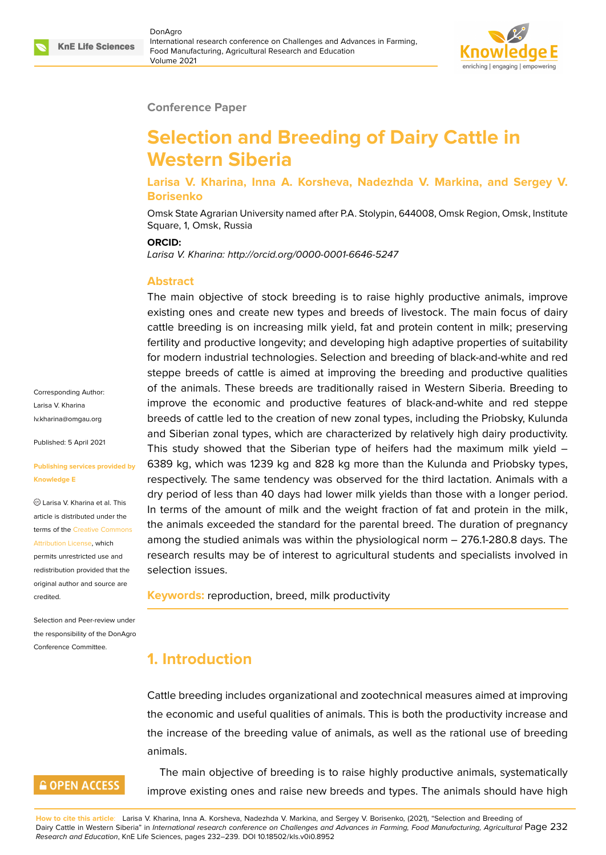

#### **Conference Paper**

# **Selection and Breeding of Dairy Cattle in Western Siberia**

#### **Larisa V. Kharina, Inna A. Korsheva, Nadezhda V. Markina, and Sergey V. Borisenko**

Omsk State Agrarian University named after P.A. Stolypin, 644008, Omsk Region, Omsk, Institute Square, 1, Omsk, Russia

#### **ORCID:**

*Larisa V. Kharina: http://orcid.org/0000-0001-6646-5247*

#### **Abstract**

The main objective of stock breeding is to raise highly productive animals, improve existing ones and create new types and breeds of livestock. The main focus of dairy cattle breeding is on increasing milk yield, fat and protein content in milk; preserving fertility and productive longevity; and developing high adaptive properties of suitability for modern industrial technologies. Selection and breeding of black-and-white and red steppe breeds of cattle is aimed at improving the breeding and productive qualities of the animals. These breeds are traditionally raised in Western Siberia. Breeding to improve the economic and productive features of black-and-white and red steppe breeds of cattle led to the creation of new zonal types, including the Priobsky, Kulunda and Siberian zonal types, which are characterized by relatively high dairy productivity. This study showed that the Siberian type of heifers had the maximum milk yield – 6389 kg, which was 1239 kg and 828 kg more than the Kulunda and Priobsky types, respectively. The same tendency was observed for the third lactation. Animals with a dry period of less than 40 days had lower milk yields than those with a longer period. In terms of the amount of milk and the weight fraction of fat and protein in the milk, the animals exceeded the standard for the parental breed. The duration of pregnancy among the studied animals was within the physiological norm – 276.1-280.8 days. The research results may be of interest to agricultural students and specialists involved in selection issues.

**Keywords:** reproduction, breed, milk productivity

## **1. Introduction**

Cattle breeding includes organizational and zootechnical measures aimed at improving the economic and useful qualities of animals. This is both the productivity increase and the increase of the breeding value of animals, as well as the rational use of breeding animals.

The main objective of breeding is to raise highly productive animals, systematically improve existing ones and raise new breeds and types. The animals should have high

Corresponding Author: Larisa V. Kharina lv.kharina@omgau.org

Published: 5 April 2021

#### **[Publishing services pr](mailto:lv.kharina@omgau.org)ovided by Knowledge E**

Larisa V. Kharina et al. This article is distributed under the terms of the Creative Commons Attribution License, which

permits unrestricted use and redistribution provided that the original auth[or and source are](https://creativecommons.org/licenses/by/4.0/) [credited.](https://creativecommons.org/licenses/by/4.0/)

Selection and Peer-review under the responsibility of the DonAgro Conference Committee.

### **GOPEN ACCESS**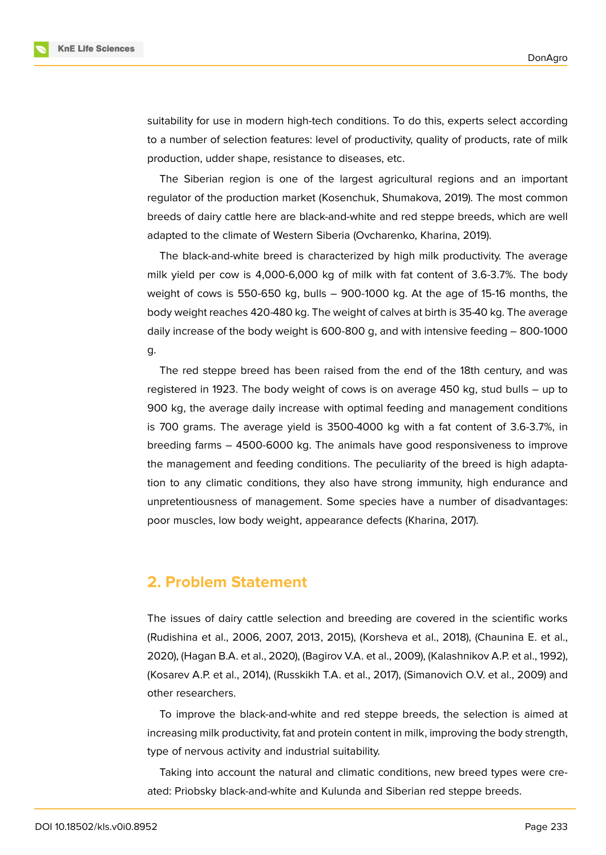

suitability for use in modern high-tech conditions. To do this, experts select according to a number of selection features: level of productivity, quality of products, rate of milk production, udder shape, resistance to diseases, etc.

The Siberian region is one of the largest agricultural regions and an important regulator of the production market (Kosenchuk, Shumakova, 2019). The most common breeds of dairy cattle here are black-and-white and red steppe breeds, which are well adapted to the climate of Western Siberia (Ovcharenko, Kharina, 2019).

The black-and-white breed is characterized by high milk productivity. The average milk yield per cow is 4,000-6,000 kg of milk with fat content of 3.6-3.7%. The body weight of cows is 550-650 kg, bulls – 900-1000 kg. At the age of 15-16 months, the body weight reaches 420-480 kg. The weight of calves at birth is 35-40 kg. The average daily increase of the body weight is 600-800 g, and with intensive feeding – 800-1000 g.

The red steppe breed has been raised from the end of the 18th century, and was registered in 1923. The body weight of cows is on average 450 kg, stud bulls – up to 900 kg, the average daily increase with optimal feeding and management conditions is 700 grams. The average yield is 3500-4000 kg with a fat content of 3.6-3.7%, in breeding farms – 4500-6000 kg. The animals have good responsiveness to improve the management and feeding conditions. The peculiarity of the breed is high adaptation to any climatic conditions, they also have strong immunity, high endurance and unpretentiousness of management. Some species have a number of disadvantages: poor muscles, low body weight, appearance defects (Kharina, 2017).

#### **2. Problem Statement**

The issues of dairy cattle selection and breeding are covered in the scientific works (Rudishina et al., 2006, 2007, 2013, 2015), (Korsheva et al., 2018), (Chaunina E. et al., 2020), (Hagan B.A. et al., 2020), (Bagirov V.A. et al., 2009), (Kalashnikov A.P. et al., 1992), (Kosarev A.P. et al., 2014), (Russkikh T.A. et al., 2017), (Simanovich O.V. et al., 2009) and other researchers.

To improve the black-and-white and red steppe breeds, the selection is aimed at increasing milk productivity, fat and protein content in milk, improving the body strength, type of nervous activity and industrial suitability.

Taking into account the natural and climatic conditions, new breed types were created: Priobsky black-and-white and Kulunda and Siberian red steppe breeds.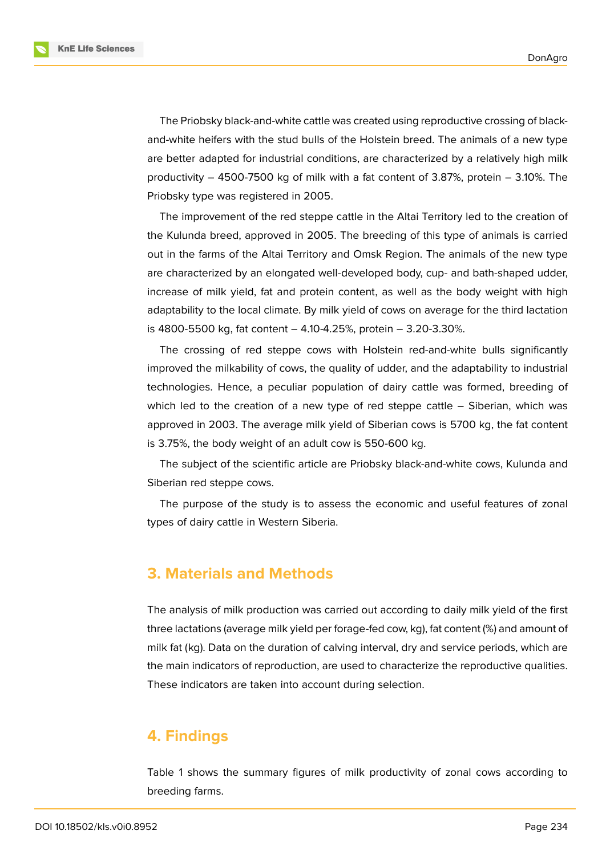**KnE Life Sciences** 

The Priobsky black-and-white cattle was created using reproductive crossing of blackand-white heifers with the stud bulls of the Holstein breed. The animals of a new type are better adapted for industrial conditions, are characterized by a relatively high milk productivity – 4500-7500 kg of milk with a fat content of 3.87%, protein – 3.10%. The Priobsky type was registered in 2005.

The improvement of the red steppe cattle in the Altai Territory led to the creation of the Kulunda breed, approved in 2005. The breeding of this type of animals is carried out in the farms of the Altai Territory and Omsk Region. The animals of the new type are characterized by an elongated well-developed body, cup- and bath-shaped udder, increase of milk yield, fat and protein content, as well as the body weight with high adaptability to the local climate. By milk yield of cows on average for the third lactation is 4800-5500 kg, fat content – 4.10-4.25%, protein – 3.20-3.30%.

The crossing of red steppe cows with Holstein red-and-white bulls significantly improved the milkability of cows, the quality of udder, and the adaptability to industrial technologies. Hence, a peculiar population of dairy cattle was formed, breeding of which led to the creation of a new type of red steppe cattle – Siberian, which was approved in 2003. The average milk yield of Siberian cows is 5700 kg, the fat content is 3.75%, the body weight of an adult cow is 550-600 kg.

The subject of the scientific article are Priobsky black-and-white cows, Kulunda and Siberian red steppe cows.

The purpose of the study is to assess the economic and useful features of zonal types of dairy cattle in Western Siberia.

#### **3. Materials and Methods**

The analysis of milk production was carried out according to daily milk yield of the first three lactations (average milk yield per forage-fed cow, kg), fat content (%) and amount of milk fat (kg). Data on the duration of calving interval, dry and service periods, which are the main indicators of reproduction, are used to characterize the reproductive qualities. These indicators are taken into account during selection.

### **4. Findings**

Table 1 shows the summary figures of milk productivity of zonal cows according to breeding farms.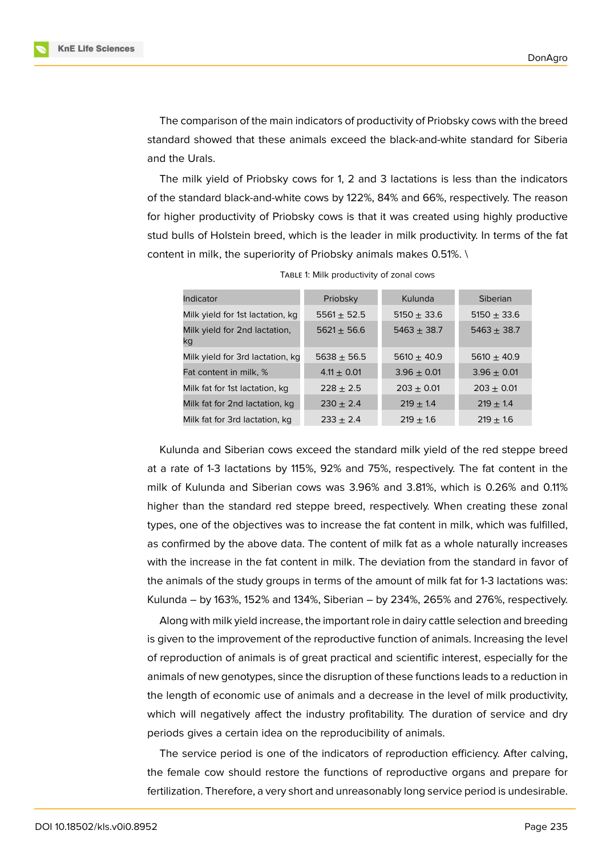**KnE Life Sciences** 

The comparison of the main indicators of productivity of Priobsky cows with the breed standard showed that these animals exceed the black-and-white standard for Siberia and the Urals.

The milk yield of Priobsky cows for 1, 2 and 3 lactations is less than the indicators of the standard black-and-white cows by 122%, 84% and 66%, respectively. The reason for higher productivity of Priobsky cows is that it was created using highly productive stud bulls of Holstein breed, which is the leader in milk productivity. In terms of the fat content in milk, the superiority of Priobsky animals makes 0.51%. \

| Indicator                           | Priobsky        | Kulunda         | Siberian        |
|-------------------------------------|-----------------|-----------------|-----------------|
| Milk yield for 1st lactation, kg    | $5561 \pm 52.5$ | 5150 $\pm$ 33.6 | $5150 \pm 33.6$ |
| Milk yield for 2nd lactation,<br>kq | $5621 \pm 56.6$ | $5463 + 38.7$   | $5463 \pm 38.7$ |
| Milk yield for 3rd lactation, kg    | $5638 + 56.5$   | $5610 + 40.9$   | $5610 + 40.9$   |
| Fat content in milk, %              | $4.11 + 0.01$   | $3.96 \pm 0.01$ | $3.96 \pm 0.01$ |
| Milk fat for 1st lactation, kg      | $228 + 2.5$     | $203 + 0.01$    | $203 + 0.01$    |
| Milk fat for 2nd lactation, kg      | $230 + 2.4$     | $219 \pm 1.4$   | $219 \pm 1.4$   |
| Milk fat for 3rd lactation, kg      | $233 + 2.4$     | $219 + 16$      | $219 + 16$      |

TABLE 1: Milk productivity of zonal cows

Kulunda and Siberian cows exceed the standard milk yield of the red steppe breed at a rate of 1-3 lactations by 115%, 92% and 75%, respectively. The fat content in the milk of Kulunda and Siberian cows was 3.96% and 3.81%, which is 0.26% and 0.11% higher than the standard red steppe breed, respectively. When creating these zonal types, one of the objectives was to increase the fat content in milk, which was fulfilled, as confirmed by the above data. The content of milk fat as a whole naturally increases with the increase in the fat content in milk. The deviation from the standard in favor of the animals of the study groups in terms of the amount of milk fat for 1-3 lactations was: Kulunda – by 163%, 152% and 134%, Siberian – by 234%, 265% and 276%, respectively.

Along with milk yield increase, the important role in dairy cattle selection and breeding is given to the improvement of the reproductive function of animals. Increasing the level of reproduction of animals is of great practical and scientific interest, especially for the animals of new genotypes, since the disruption of these functions leads to a reduction in the length of economic use of animals and a decrease in the level of milk productivity, which will negatively affect the industry profitability. The duration of service and dry periods gives a certain idea on the reproducibility of animals.

The service period is one of the indicators of reproduction efficiency. After calving, the female cow should restore the functions of reproductive organs and prepare for fertilization. Therefore, a very short and unreasonably long service period is undesirable.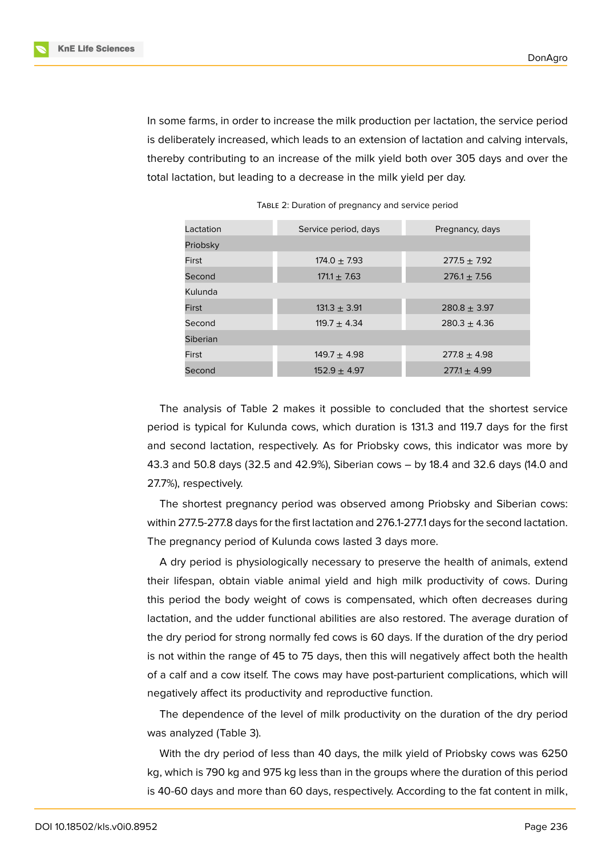In some farms, in order to increase the milk production per lactation, the service period is deliberately increased, which leads to an extension of lactation and calving intervals, thereby contributing to an increase of the milk yield both over 305 days and over the total lactation, but leading to a decrease in the milk yield per day.

| Lactation | Service period, days | Pregnancy, days  |  |  |
|-----------|----------------------|------------------|--|--|
| Priobsky  |                      |                  |  |  |
| First     | $174.0 \pm 7.93$     | $277.5 + 7.92$   |  |  |
| Second    | $171.1 \pm 7.63$     | $276.1 + 7.56$   |  |  |
| Kulunda   |                      |                  |  |  |
| First     | $131.3 \pm 3.91$     | $280.8 \pm 3.97$ |  |  |
| Second    | $119.7 + 4.34$       | $280.3 + 4.36$   |  |  |
| Siberian  |                      |                  |  |  |
| First     | $149.7 + 4.98$       | $277.8 + 4.98$   |  |  |
| Second    | $152.9 + 4.97$       | $277.1 + 4.99$   |  |  |

TABLE 2: Duration of pregnancy and service period

The analysis of Table 2 makes it possible to concluded that the shortest service period is typical for Kulunda cows, which duration is 131.3 and 119.7 days for the first and second lactation, respectively. As for Priobsky cows, this indicator was more by 43.3 and 50.8 days (32.5 and 42.9%), Siberian cows – by 18.4 and 32.6 days (14.0 and 27.7%), respectively.

The shortest pregnancy period was observed among Priobsky and Siberian cows: within 277.5-277.8 days for the first lactation and 276.1-277.1 days for the second lactation. The pregnancy period of Kulunda cows lasted 3 days more.

A dry period is physiologically necessary to preserve the health of animals, extend their lifespan, obtain viable animal yield and high milk productivity of cows. During this period the body weight of cows is compensated, which often decreases during lactation, and the udder functional abilities are also restored. The average duration of the dry period for strong normally fed cows is 60 days. If the duration of the dry period is not within the range of 45 to 75 days, then this will negatively affect both the health of a calf and a cow itself. The cows may have post-parturient complications, which will negatively affect its productivity and reproductive function.

The dependence of the level of milk productivity on the duration of the dry period was analyzed (Table 3).

With the dry period of less than 40 days, the milk yield of Priobsky cows was 6250 kg, which is 790 kg and 975 kg less than in the groups where the duration of this period is 40-60 days and more than 60 days, respectively. According to the fat content in milk,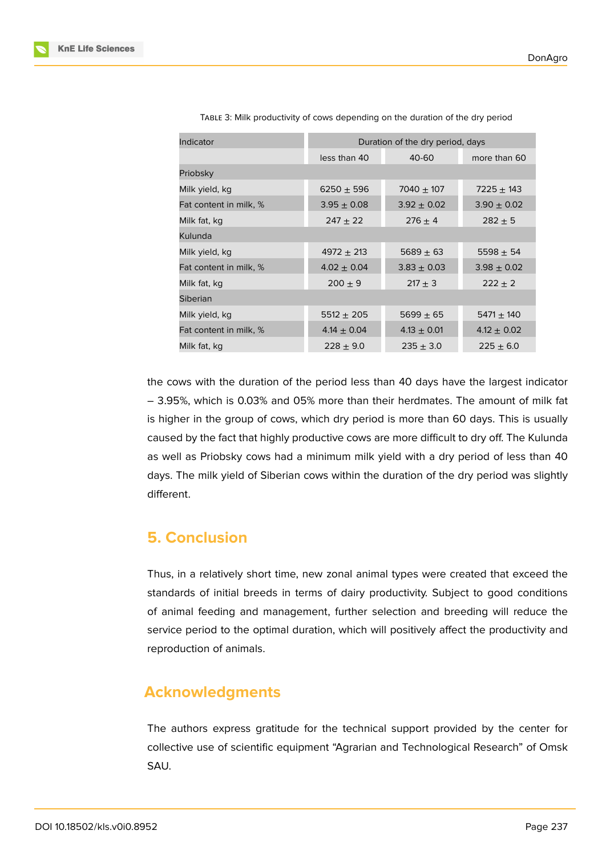| Indicator              | Duration of the dry period, days |                 |                 |
|------------------------|----------------------------------|-----------------|-----------------|
|                        | less than 40                     | 40-60           | more than 60    |
| Priobsky               |                                  |                 |                 |
| Milk yield, kg         | $6250 \pm 596$                   | $7040 \pm 107$  | $7225 \pm 143$  |
| Fat content in milk, % | $3.95 \pm 0.08$                  | $3.92 \pm 0.02$ | $3.90 \pm 0.02$ |
| Milk fat, kg           | $247 + 22$                       | $276 \pm 4$     | $282 \pm 5$     |
| Kulunda                |                                  |                 |                 |
| Milk yield, kg         | $4972 \pm 213$                   | $5689 + 63$     | 5598 $\pm$ 54   |
| Fat content in milk, % | $4.02 \pm 0.04$                  | $3.83 \pm 0.03$ | $3.98 \pm 0.02$ |
| Milk fat, kg           | $200 + 9$                        | $217 + 3$       | $222 + 2$       |
| <b>Siberian</b>        |                                  |                 |                 |
| Milk yield, kg         | $5512 \pm 205$                   | $5699 \pm 65$   | $5471 \pm 140$  |
| Fat content in milk, % | $4.14 \pm 0.04$                  | $4.13 \pm 0.01$ | $4.12 \pm 0.02$ |
| Milk fat, kg           | $228 \pm 9.0$                    | $235 \pm 3.0$   | $225 \pm 6.0$   |

TABLE 3: Milk productivity of cows depending on the duration of the dry period

the cows with the duration of the period less than 40 days have the largest indicator – 3.95%, which is 0.03% and 05% more than their herdmates. The amount of milk fat is higher in the group of cows, which dry period is more than 60 days. This is usually caused by the fact that highly productive cows are more difficult to dry off. The Kulunda as well as Priobsky cows had a minimum milk yield with a dry period of less than 40 days. The milk yield of Siberian cows within the duration of the dry period was slightly different.

# **5. Conclusion**

Thus, in a relatively short time, new zonal animal types were created that exceed the standards of initial breeds in terms of dairy productivity. Subject to good conditions of animal feeding and management, further selection and breeding will reduce the service period to the optimal duration, which will positively affect the productivity and reproduction of animals.

# **Acknowledgments**

The authors express gratitude for the technical support provided by the center for collective use of scientific equipment "Agrarian and Technological Research" of Omsk SAU.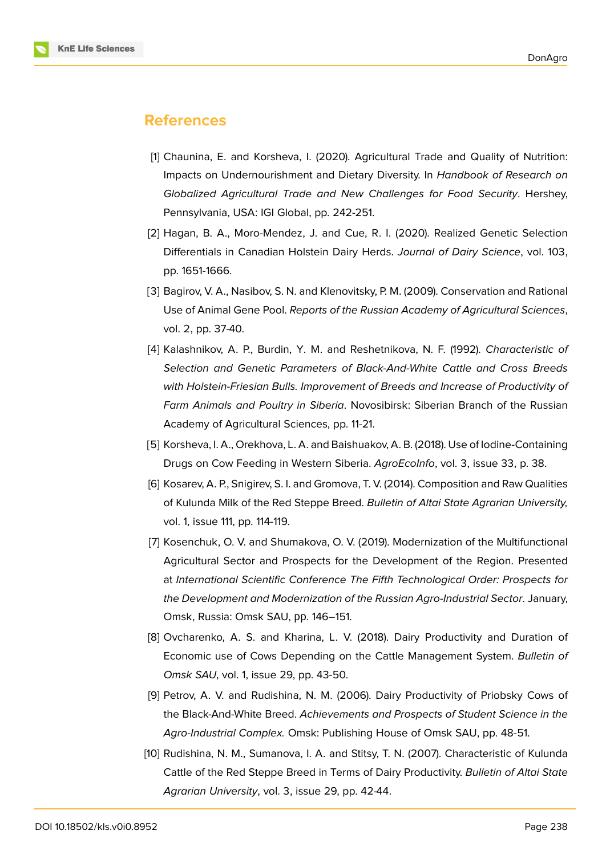

#### **References**

- [1] Chaunina, E. and Korsheva, I. (2020). Agricultural Trade and Quality of Nutrition: Impacts on Undernourishment and Dietary Diversity. In *Handbook of Research on Globalized Agricultural Trade and New Challenges for Food Security*. Hershey, Pennsylvania, USA: IGI Global, pp. 242-251.
- [2] Hagan, B. A., Moro-Mendez, J. and Cue, R. I. (2020). Realized Genetic Selection Differentials in Canadian Holstein Dairy Herds. *Journal of Dairy Science*, vol. 103, pp. 1651-1666.
- [3] Bagirov, V. A., Nasibov, S. N. and Klenovitsky, P. M. (2009). Conservation and Rational Use of Animal Gene Pool. *Reports of the Russian Academy of Agricultural Sciences*, vol. 2, pp. 37-40.
- [4] Kalashnikov, A. P., Burdin, Y. M. and Reshetnikova, N. F. (1992). *Characteristic of Selection and Genetic Parameters of Black-And-White Cattle and Cross Breeds with Holstein-Friesian Bulls. Improvement of Breeds and Increase of Productivity of Farm Animals and Poultry in Siberia*. Novosibirsk: Siberian Branch of the Russian Academy of Agricultural Sciences, pp. 11-21.
- [5] Korsheva, I. A., Orekhova, L. A. and Baishuakov, A. B. (2018). Use of Iodine-Containing Drugs on Cow Feeding in Western Siberia. *AgroEcoInfo*, vol. 3, issue 33, p. 38.
- [6] Kosarev, A. P., Snigirev, S. I. and Gromova, T. V. (2014). Composition and Raw Qualities of Kulunda Milk of the Red Steppe Breed. *Bulletin of Altai State Agrarian University,* vol. 1, issue 111, pp. 114-119.
- [7] Kosenchuk, O. V. and Shumakova, O. V. (2019). Modernization of the Multifunctional Agricultural Sector and Prospects for the Development of the Region. Presented at *International Scientific Conference The Fifth Technological Order: Prospects for the Development and Modernization of the Russian Agro-Industrial Sector*. January, Omsk, Russia: Omsk SAU, рр. 146–151.
- [8] Ovcharenko, A. S. and Kharina, L. V. (2018). Dairy Productivity and Duration of Economic use of Cows Depending on the Cattle Management System. *Bulletin of Omsk SAU*, vol. 1, issue 29, pp. 43-50.
- [9] Petrov, A. V. and Rudishina, N. M. (2006). Dairy Productivity of Priobsky Cows of the Black-And-White Breed. *Achievements and Prospects of Student Science in the Agro-Industrial Complex.* Omsk: Publishing House of Omsk SAU, pp. 48-51.
- [10] Rudishina, N. M., Sumanova, I. A. and Stitsy, T. N. (2007). Characteristic of Kulunda Cattle of the Red Steppe Breed in Terms of Dairy Productivity. *Bulletin of Altai State Agrarian University*, vol. 3, issue 29, pp. 42-44.